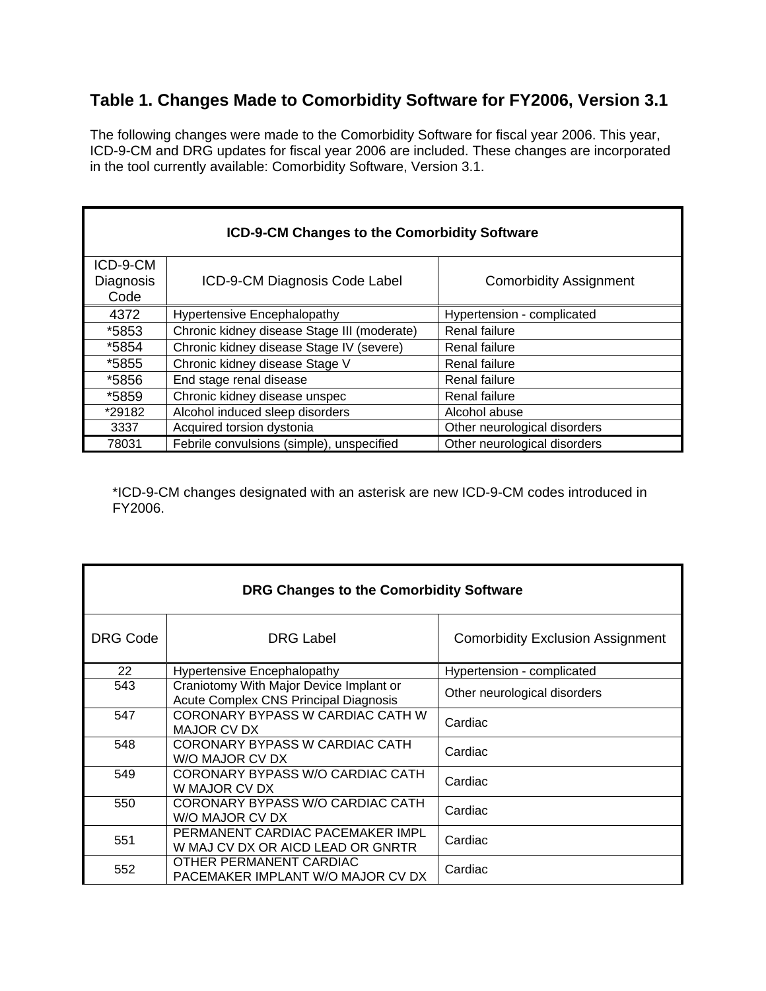## **Table 1. Changes Made to Comorbidity Software for FY2006, Version 3.1**

The following changes were made to the Comorbidity Software for fiscal year 2006. This year, ICD-9-CM and DRG updates for fiscal year 2006 are included. These changes are incorporated in the tool currently available: Comorbidity Software, Version 3.1.

| <b>ICD-9-CM Changes to the Comorbidity Software</b> |                                             |                               |  |
|-----------------------------------------------------|---------------------------------------------|-------------------------------|--|
| ICD-9-CM                                            |                                             |                               |  |
| <b>Diagnosis</b><br>Code                            | ICD-9-CM Diagnosis Code Label               | <b>Comorbidity Assignment</b> |  |
| 4372                                                | <b>Hypertensive Encephalopathy</b>          | Hypertension - complicated    |  |
| *5853                                               | Chronic kidney disease Stage III (moderate) | Renal failure                 |  |
| *5854                                               | Chronic kidney disease Stage IV (severe)    | Renal failure                 |  |
| *5855                                               | Chronic kidney disease Stage V              | Renal failure                 |  |
| *5856                                               | End stage renal disease                     | Renal failure                 |  |
| *5859                                               | Chronic kidney disease unspec               | <b>Renal failure</b>          |  |
| *29182                                              | Alcohol induced sleep disorders             | Alcohol abuse                 |  |
| 3337                                                | Acquired torsion dystonia                   | Other neurological disorders  |  |
| 78031                                               | Febrile convulsions (simple), unspecified   | Other neurological disorders  |  |

\*ICD-9-CM changes designated with an asterisk are new ICD-9-CM codes introduced in FY2006.

| DRG Changes to the Comorbidity Software |                                                                                         |                                         |  |  |
|-----------------------------------------|-----------------------------------------------------------------------------------------|-----------------------------------------|--|--|
| <b>DRG Code</b>                         | <b>DRG Label</b>                                                                        | <b>Comorbidity Exclusion Assignment</b> |  |  |
| 22                                      | Hypertensive Encephalopathy                                                             | Hypertension - complicated              |  |  |
| 543                                     | Craniotomy With Major Device Implant or<br><b>Acute Complex CNS Principal Diagnosis</b> | Other neurological disorders            |  |  |
| 547                                     | CORONARY BYPASS W CARDIAC CATH W<br>MAJOR CV DX                                         | Cardiac                                 |  |  |
| 548                                     | CORONARY BYPASS W CARDIAC CATH<br>W/O MAJOR CV DX                                       | Cardiac                                 |  |  |
| 549                                     | CORONARY BYPASS W/O CARDIAC CATH<br>W MAJOR CV DX                                       | Cardiac                                 |  |  |
| 550                                     | CORONARY BYPASS W/O CARDIAC CATH<br>W/O MAJOR CV DX                                     | Cardiac                                 |  |  |
| 551                                     | PERMANENT CARDIAC PACEMAKER IMPL<br>W MAJ CV DX OR AICD LEAD OR GNRTR                   | Cardiac                                 |  |  |
| 552                                     | OTHER PERMANENT CARDIAC<br>PACEMAKER IMPLANT W/O MAJOR CV DX                            | Cardiac                                 |  |  |